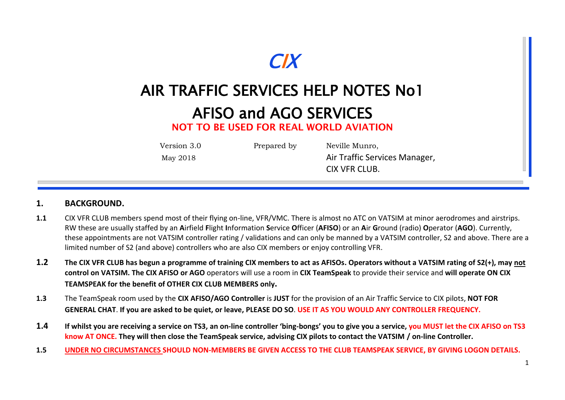

# AIR TRAFFIC SERVICES HELP NOTES No1

## AFISO and AGO SERVICES

**NOT TO BE USED FOR REAL WORLD AVIATION**

Version 3.0 Prepared by Neville Munro,

May 2018 May 2018 **Air Traffic Services Manager,** CIX VFR CLUB.

#### **1. BACKGROUND.**

- **1.1** CIX VFR CLUB members spend most of their flying on-line, VFR/VMC. There is almost no ATC on VATSIM at minor aerodromes and airstrips. RW these are usually staffed by an **A**irfield **F**light **I**nformation **S**ervice **O**fficer (**AFISO**) or an **A**ir **G**round (radio) **O**perator (**AGO**). Currently, these appointments are not VATSIM controller rating / validations and can only be manned by a VATSIM controller, S2 and above. There are a limited number of S2 (and above) controllers who are also CIX members or enjoy controlling VFR.
- **1.2 The CIX VFR CLUB has begun a programme of training CIX members to act as AFISOs. Operators without a VATSIM rating of S2(+), may not control on VATSIM. The CIX AFISO or AGO** operators will use a room in **CIX TeamSpeak** to provide their service and **will operate ON CIX TEAMSPEAK for the benefit of OTHER CIX CLUB MEMBERS only.**
- **1.3** The TeamSpeak room used by the **CIX AFISO/AGO Controller** is **JUST** for the provision of an Air Traffic Service to CIX pilots, **NOT FOR GENERAL CHAT**. **If you are asked to be quiet, or leave, PLEASE DO SO**. **USE IT AS YOU WOULD ANY CONTROLLER FREQUENCY.**
- **1.4 If whilst you are receiving a service on TS3, an on-line controller 'bing-bongs' you to give you a service, you MUST let the CIX AFISO on TS3 know AT ONCE. They will then close the TeamSpeak service, advising CIX pilots to contact the VATSIM / on-line Controller.**
- **1.5 UNDER NO CIRCUMSTANCES SHOULD NON-MEMBERS BE GIVEN ACCESS TO THE CLUB TEAMSPEAK SERVICE, BY GIVING LOGON DETAILS.**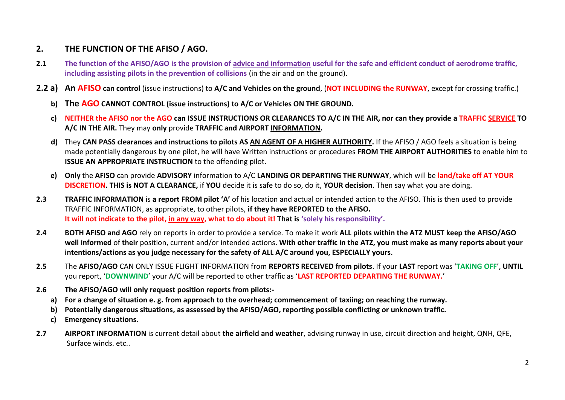#### **2. THE FUNCTION OF THE AFISO / AGO.**

- **2.1 The function of the AFISO/AGO is the provision of advice and information useful for the safe and efficient conduct of aerodrome traffic, including assisting pilots in the prevention of collisions** (in the air and on the ground).
- **2.2 a) An AFISO can control** (issue instructions) to **A/C and Vehicles on the ground**, (**NOT INCLUDING the RUNWAY**, except for crossing traffic.)
	- **b) The AGO CANNOT CONTROL (issue instructions) to A/C or Vehicles ON THE GROUND.**
	- **c) NEITHER the AFISO nor the AGO can ISSUE INSTRUCTIONS OR CLEARANCES TO A/C IN THE AIR, nor can they provide a TRAFFIC SERVICE TO A/C IN THE AIR.** They may **only** provide **TRAFFIC and AIRPORT INFORMATION.**
	- **d)** They **CAN PASS clearances and instructions to pilots AS AN AGENT OF A HIGHER AUTHORITY.** If the AFISO / AGO feels a situation is being made potentially dangerous by one pilot, he will have Written instructions or procedures **FROM THE AIRPORT AUTHORITIES** to enable him to **ISSUE AN APPROPRIATE INSTRUCTION** to the offending pilot.
	- **e) Only** the **AFISO** can provide **ADVISORY** information to A/C **LANDING OR DEPARTING THE RUNWAY**, which will be **land/take off AT YOUR DISCRETION. THIS is NOT A CLEARANCE,** if **YOU** decide it is safe to do so, do it, **YOUR decision**. Then say what you are doing.
- **2.3 TRAFFIC INFORMATION** is **a report FROM pilot 'A'** of his location and actual or intended action to the AFISO. This is then used to provide TRAFFIC INFORMATION, as appropriate, to other pilots, **if they have REPORTED to the AFISO. It will not indicate to the pilot, in any way, what to do about it! That is 'solely his responsibility'.**
- **2.4 BOTH AFISO and AGO** rely on reports in order to provide a service. To make it work **ALL pilots within the ATZ MUST keep the AFISO/AGO well informed** of **their** position, current and/or intended actions. **With other traffic in the ATZ, you must make as many reports about your intentions/actions as you judge necessary for the safety of ALL A/C around you, ESPECIALLY yours.**
- **2.5** The **AFISO/AGO** CAN ONLY ISSUE FLIGHT INFORMATION from **REPORTS RECEIVED from pilots**. If your **LAST** report was '**TAKING OFF**', **UNTIL** you report, '**DOWNWIND**' your A/C will be reported to other traffic as '**LAST REPORTED DEPARTING THE RUNWAY.**'
- **2.6 The AFISO/AGO will only request position reports from pilots:**
	- **a) For a change of situation e. g. from approach to the overhead; commencement of taxiing; on reaching the runway.**
	- **b) Potentially dangerous situations, as assessed by the AFISO/AGO, reporting possible conflicting or unknown traffic.**
	- **c) Emergency situations.**
- **2.7 AIRPORT INFORMATION** is current detail about **the airfield and weather**, advising runway in use, circuit direction and height, QNH, QFE, Surface winds. etc..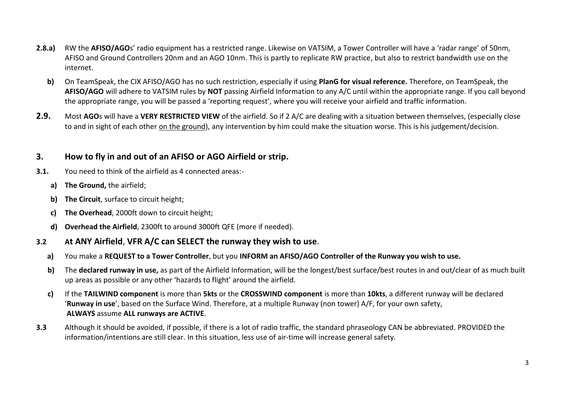- **2.8.a)** RW the **AFISO/AGO**s' radio equipment has a restricted range. Likewise on VATSIM, a Tower Controller will have a 'radar range' of 50nm, AFISO and Ground Controllers 20nm and an AGO 10nm. This is partly to replicate RW practice, but also to restrict bandwidth use on the internet.
	- **b)** On TeamSpeak, the CIX AFISO/AGO has no such restriction, especially if using **PlanG for visual reference.** Therefore, on TeamSpeak, the **AFISO/AGO** will adhere to VATSIM rules by **NOT** passing Airfield Information to any A/C until within the appropriate range. If you call beyond the appropriate range, you will be passed a 'reporting request', where you will receive your airfield and traffic information.
- **2.9.** Most **AGO**s will have a **VERY RESTRICTED VIEW** of the airfield. So if 2 A/C are dealing with a situation between themselves, (especially close to and in sight of each other on the ground), any intervention by him could make the situation worse. This is his judgement/decision.

#### **3. How to fly in and out of an AFISO or AGO Airfield or strip.**

- **3.1.** You need to think of the airfield as 4 connected areas:
	- **a) The Ground,** the airfield;
	- **b) The Circuit**, surface to circuit height;
	- **c) The Overhead**, 2000ft down to circuit height;
	- **d) Overhead the Airfield**, 2300ft to around 3000ft QFE (more if needed).

#### **3.2 At ANY Airfield**, **VFR A/C can SELECT the runway they wish to use**.

- **a)** You make a **REQUEST to a Tower Controller**, but you **INFORM an AFISO/AGO Controller of the Runway you wish to use.**
- **b)** The **declared runway in use,** as part of the Airfield Information, will be the longest/best surface/best routes in and out/clear of as much built up areas as possible or any other 'hazards to flight' around the airfield.
- **c)** If the **TAILWIND component** is more than **5kts** or the **CROSSWIND component** is more than **10kts**, a different runway will be declared '**Runway in use**', based on the Surface Wind. Therefore, at a multiple Runway (non tower) A/F, for your own safety, **ALWAYS** assume **ALL runways are ACTIVE**.
- **3.3** Although it should be avoided, if possible, if there is a lot of radio traffic, the standard phraseology CAN be abbreviated. PROVIDED the information/intentions are still clear. In this situation, less use of air-time will increase general safety.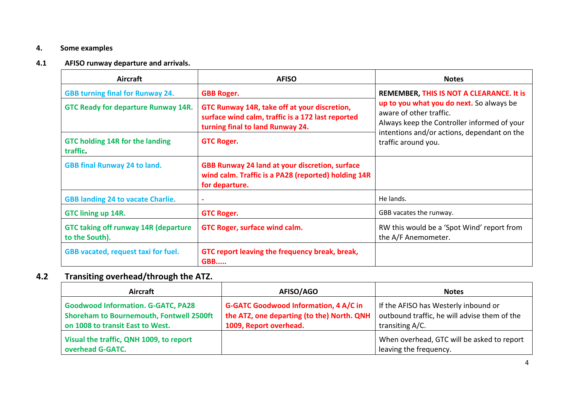#### **4. Some examples**

#### **4.1 AFISO runway departure and arrivals.**

| <b>Aircraft</b>                                               | <b>AFISO</b>                                                                                                                          | <b>Notes</b>                                                                                                                                                                             |  |
|---------------------------------------------------------------|---------------------------------------------------------------------------------------------------------------------------------------|------------------------------------------------------------------------------------------------------------------------------------------------------------------------------------------|--|
| <b>GBB turning final for Runway 24.</b>                       | <b>GBB Roger.</b>                                                                                                                     | REMEMBER, THIS IS NOT A CLEARANCE. It is                                                                                                                                                 |  |
| <b>GTC Ready for departure Runway 14R.</b>                    | GTC Runway 14R, take off at your discretion,<br>surface wind calm, traffic is a 172 last reported<br>turning final to land Runway 24. | up to you what you do next. So always be<br>aware of other traffic.<br>Always keep the Controller informed of your<br>intentions and/or actions, dependant on the<br>traffic around you. |  |
| <b>GTC holding 14R for the landing</b><br>traffic.            | <b>GTC Roger.</b>                                                                                                                     |                                                                                                                                                                                          |  |
| <b>GBB final Runway 24 to land.</b>                           | <b>GBB Runway 24 land at your discretion, surface</b><br>wind calm. Traffic is a PA28 (reported) holding 14R<br>for departure.        |                                                                                                                                                                                          |  |
| <b>GBB landing 24 to vacate Charlie.</b>                      | ٠                                                                                                                                     | He lands.                                                                                                                                                                                |  |
| <b>GTC lining up 14R.</b>                                     | <b>GTC Roger.</b>                                                                                                                     | GBB vacates the runway.                                                                                                                                                                  |  |
| <b>GTC taking off runway 14R (departure</b><br>to the South). | GTC Roger, surface wind calm.                                                                                                         | RW this would be a 'Spot Wind' report from<br>the A/F Anemometer.                                                                                                                        |  |
| GBB vacated, request taxi for fuel.                           | GTC report leaving the frequency break, break,<br><b>GBB</b>                                                                          |                                                                                                                                                                                          |  |

### **4.2 Transiting overhead/through the ATZ.**

| Aircraft                                                                                                                         | AFISO/AGO                                                                                                            | <b>Notes</b>                                                                                            |
|----------------------------------------------------------------------------------------------------------------------------------|----------------------------------------------------------------------------------------------------------------------|---------------------------------------------------------------------------------------------------------|
| <b>Goodwood Information. G-GATC, PA28</b><br><b>Shoreham to Bournemouth, Fontwell 2500ft</b><br>on 1008 to transit East to West. | <b>G-GATC Goodwood Information, 4 A/C in</b><br>the ATZ, one departing (to the) North. QNH<br>1009, Report overhead. | If the AFISO has Westerly inbound or<br>outbound traffic, he will advise them of the<br>transiting A/C. |
| Visual the traffic, QNH 1009, to report<br>overhead G-GATC.                                                                      |                                                                                                                      | When overhead, GTC will be asked to report<br>leaving the frequency.                                    |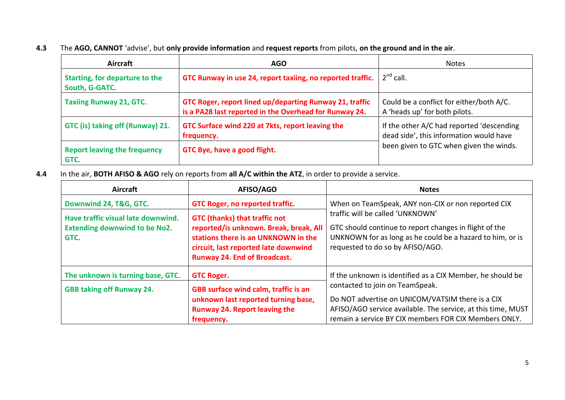|  | 4.3 The AGO, CANNOT 'advise', but only provide information and request reports from pilots, on the ground and in the air. |  |  |  |  |  |  |
|--|---------------------------------------------------------------------------------------------------------------------------|--|--|--|--|--|--|
|--|---------------------------------------------------------------------------------------------------------------------------|--|--|--|--|--|--|

| Aircraft                                         | <b>AGO</b>                                                                                                        | <b>Notes</b>                                                                         |
|--------------------------------------------------|-------------------------------------------------------------------------------------------------------------------|--------------------------------------------------------------------------------------|
| Starting, for departure to the<br>South, G-GATC. | GTC Runway in use 24, report taxiing, no reported traffic.                                                        | $2^{nd}$ call.                                                                       |
| <b>Taxiing Runway 21, GTC.</b>                   | GTC Roger, report lined up/departing Runway 21, traffic<br>is a PA28 last reported in the Overhead for Runway 24. | Could be a conflict for either/both A/C.<br>A 'heads up' for both pilots.            |
| GTC (is) taking off (Runway) 21.                 | GTC Surface wind 220 at 7kts, report leaving the<br>frequency.                                                    | If the other A/C had reported 'descending<br>dead side', this information would have |
| <b>Report leaving the frequency</b><br>GTC.      | GTC Bye, have a good flight.                                                                                      | been given to GTC when given the winds.                                              |

**4.4** In the air, **BOTH AFISO & AGO** rely on reports from **all A/C within the ATZ**, in order to provide a service.

| <b>Aircraft</b>                                                                    | AFISO/AGO                                                                                                                                                                                            | <b>Notes</b>                                                                                                                                                                                                 |
|------------------------------------------------------------------------------------|------------------------------------------------------------------------------------------------------------------------------------------------------------------------------------------------------|--------------------------------------------------------------------------------------------------------------------------------------------------------------------------------------------------------------|
| Downwind 24, T&G, GTC.                                                             | GTC Roger, no reported traffic.                                                                                                                                                                      | When on TeamSpeak, ANY non-CIX or non reported CIX                                                                                                                                                           |
| Have traffic visual late downwind.<br><b>Extending downwind to be No2.</b><br>GTC. | <b>GTC (thanks) that traffic not</b><br>reported/is unknown. Break, break, All<br>stations there is an UNKNOWN in the<br>circuit, last reported late downwind<br><b>Runway 24. End of Broadcast.</b> | traffic will be called 'UNKNOWN'<br>GTC should continue to report changes in flight of the<br>UNKNOWN for as long as he could be a hazard to him, or is<br>requested to do so by AFISO/AGO.                  |
| The unknown is turning base, GTC.                                                  | <b>GTC Roger.</b>                                                                                                                                                                                    | If the unknown is identified as a CIX Member, he should be                                                                                                                                                   |
| <b>GBB taking off Runway 24.</b>                                                   | GBB surface wind calm, traffic is an<br>unknown last reported turning base,<br><b>Runway 24. Report leaving the</b><br>frequency.                                                                    | contacted to join on TeamSpeak.<br>Do NOT advertise on UNICOM/VATSIM there is a CIX<br>AFISO/AGO service available. The service, at this time, MUST<br>remain a service BY CIX members FOR CIX Members ONLY. |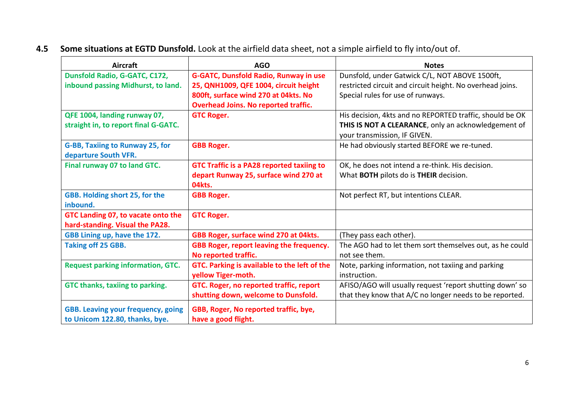| <b>Aircraft</b>                                                       | <b>AGO</b>                                       | <b>Notes</b>                                              |
|-----------------------------------------------------------------------|--------------------------------------------------|-----------------------------------------------------------|
| Dunsfold Radio, G-GATC, C172,                                         | <b>G-GATC, Dunsfold Radio, Runway in use</b>     | Dunsfold, under Gatwick C/L, NOT ABOVE 1500ft,            |
| inbound passing Midhurst, to land.                                    | 25, QNH1009, QFE 1004, circuit height            | restricted circuit and circuit height. No overhead joins. |
|                                                                       | 800ft, surface wind 270 at 04kts. No             | Special rules for use of runways.                         |
|                                                                       | <b>Overhead Joins. No reported traffic.</b>      |                                                           |
| QFE 1004, landing runway 07,                                          | <b>GTC Roger.</b>                                | His decision, 4kts and no REPORTED traffic, should be OK  |
| straight in, to report final G-GATC.                                  |                                                  | THIS IS NOT A CLEARANCE, only an acknowledgement of       |
|                                                                       |                                                  | your transmission, IF GIVEN.                              |
| G-BB, Taxiing to Runway 25, for<br>departure South VFR.               | <b>GBB Roger.</b>                                | He had obviously started BEFORE we re-tuned.              |
| Final runway 07 to land GTC.                                          | <b>GTC Traffic is a PA28 reported taxiing to</b> | OK, he does not intend a re-think. His decision.          |
|                                                                       | depart Runway 25, surface wind 270 at<br>04kts.  | What BOTH pilots do is THEIR decision.                    |
| GBB. Holding short 25, for the<br>inbound.                            | <b>GBB Roger.</b>                                | Not perfect RT, but intentions CLEAR.                     |
| GTC Landing 07, to vacate onto the<br>hard-standing. Visual the PA28. | <b>GTC Roger.</b>                                |                                                           |
| GBB Lining up, have the 172.                                          | GBB Roger, surface wind 270 at 04kts.            | (They pass each other).                                   |
| <b>Taking off 25 GBB.</b>                                             | <b>GBB Roger, report leaving the frequency.</b>  | The AGO had to let them sort themselves out, as he could  |
|                                                                       | No reported traffic.                             | not see them.                                             |
| <b>Request parking information, GTC.</b>                              | GTC. Parking is available to the left of the     | Note, parking information, not taxiing and parking        |
|                                                                       | yellow Tiger-moth.                               | instruction.                                              |
| GTC thanks, taxiing to parking.                                       | GTC. Roger, no reported traffic, report          | AFISO/AGO will usually request 'report shutting down' so  |
|                                                                       | shutting down, welcome to Dunsfold.              | that they know that A/C no longer needs to be reported.   |
| <b>GBB. Leaving your frequency, going</b>                             | GBB, Roger, No reported traffic, bye,            |                                                           |
| to Unicom 122.80, thanks, bye.                                        | have a good flight.                              |                                                           |

### **4.5 Some situations at EGTD Dunsfold.** Look at the airfield data sheet, not a simple airfield to fly into/out of.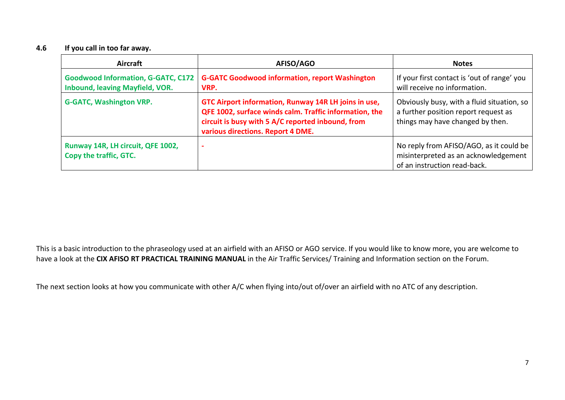#### **4.6 If you call in too far away.**

| Aircraft                                                                            | AFISO/AGO                                                                                                                                                                                                | <b>Notes</b>                                                                                                           |
|-------------------------------------------------------------------------------------|----------------------------------------------------------------------------------------------------------------------------------------------------------------------------------------------------------|------------------------------------------------------------------------------------------------------------------------|
| <b>Goodwood Information, G-GATC, C172</b><br><b>Inbound, leaving Mayfield, VOR.</b> | <b>G-GATC Goodwood information, report Washington</b><br>VRP.                                                                                                                                            | If your first contact is 'out of range' you<br>will receive no information.                                            |
| <b>G-GATC, Washington VRP.</b>                                                      | GTC Airport information, Runway 14R LH joins in use,<br>QFE 1002, surface winds calm. Traffic information, the<br>circuit is busy with 5 A/C reported inbound, from<br>various directions. Report 4 DME. | Obviously busy, with a fluid situation, so<br>a further position report request as<br>things may have changed by then. |
| Runway 14R, LH circuit, QFE 1002,<br>Copy the traffic, GTC.                         | ۰.                                                                                                                                                                                                       | No reply from AFISO/AGO, as it could be<br>misinterpreted as an acknowledgement<br>of an instruction read-back.        |

This is a basic introduction to the phraseology used at an airfield with an AFISO or AGO service. If you would like to know more, you are welcome to have a look at the **CIX AFISO RT PRACTICAL TRAINING MANUAL** in the Air Traffic Services/ Training and Information section on the Forum.

The next section looks at how you communicate with other A/C when flying into/out of/over an airfield with no ATC of any description.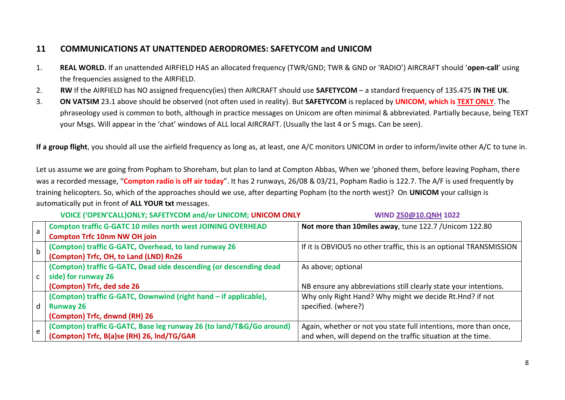#### **11 COMMUNICATIONS AT UNATTENDED AERODROMES: SAFETYCOM and UNICOM**

- 1. **REAL WORLD.** If an unattended AIRFIELD HAS an allocated frequency (TWR/GND; TWR & GND or 'RADIO') AIRCRAFT should '**open-call**' using the frequencies assigned to the AIRFIELD.
- 2. **RW** If the AIRFIELD has NO assigned frequency(ies) then AIRCRAFT should use **SAFETYCOM** a standard frequency of 135.475 **IN THE UK**.
- 3. **ON VATSIM** 23.1 above should be observed (not often used in reality). But **SAFETYCOM** is replaced by **UNICOM, which is TEXT ONLY**. The phraseology used is common to both, although in practice messages on Unicom are often minimal & abbreviated. Partially because, being TEXT your Msgs. Will appear in the 'chat' windows of ALL local AIRCRAFT. (Usually the last 4 or 5 msgs. Can be seen).

**If a group flight**, you should all use the airfield frequency as long as, at least, one A/C monitors UNICOM in order to inform/invite other A/C to tune in.

Let us assume we are going from Popham to Shoreham, but plan to land at Compton Abbas, When we 'phoned them, before leaving Popham, there was a recorded message, "**Compton radio is off air today**". It has 2 runways, 26/08 & 03/21, Popham Radio is 122.7. The A/F is used frequently by training helicopters. So, which of the approaches should we use, after departing Popham (to the north west)? On **UNICOM** your callsign is automatically put in front of **ALL YOUR txt** messages.

**VOICE ('OPEN'CALL)ONLY; SAFETYCOM and/or UNICOM; UNICOM ONLY WIND [250@10.QNH](mailto:250@10.QNH) 1022**

| a           | <b>Compton traffic G-GATC 10 miles north west JOINING OVERHEAD</b><br><b>Compton Trfc 10nm NW OH join</b> | Not more than 10miles away, tune 122.7 / Unicom 122.80              |
|-------------|-----------------------------------------------------------------------------------------------------------|---------------------------------------------------------------------|
| $\mathsf b$ | (Compton) traffic G-GATC, Overhead, to land runway 26<br>(Compton) Trfc, OH, to Land (LND) Rn26           | If it is OBVIOUS no other traffic, this is an optional TRANSMISSION |
|             | (Compton) traffic G-GATC, Dead side descending (or descending dead<br>side) for runway 26                 | As above; optional                                                  |
|             | (Compton) Trfc, ded sde 26                                                                                | NB ensure any abbreviations still clearly state your intentions.    |
|             | (Compton) traffic G-GATC, Downwind (right hand - if applicable),                                          | Why only Right Hand? Why might we decide Rt.Hnd? if not             |
| d           | <b>Runway 26</b>                                                                                          | specified. (where?)                                                 |
|             | (Compton) Trfc, dnwnd (RH) 26                                                                             |                                                                     |
|             | (Compton) traffic G-GATC, Base leg runway 26 (to land/T&G/Go around)                                      | Again, whether or not you state full intentions, more than once,    |
| e           | (Compton) Trfc, B(a)se (RH) 26, Ind/TG/GAR                                                                | and when, will depend on the traffic situation at the time.         |